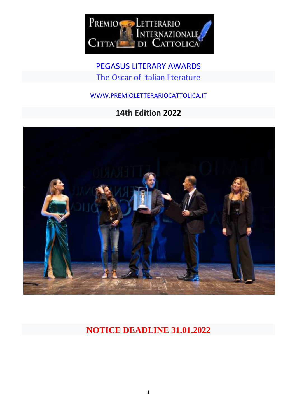

PEGASUS LITERARY AWARDS The Oscar of Italian literature

WWW.PREMIOLETTERARIOCATTOLICA.IT

# **14th Edition 2022**



# **NOTICE DEADLINE 31.01.2022**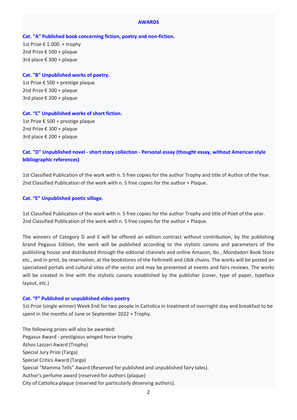#### **AWARDS**

## **Cat. "A" Published book concerning fiction, poetry and non-fiction.**

1st Prize € 1.000. + trophy 2nd Prize € 500 + plaque 3rd place € 300 + plaque

# **Cat. "B" Unpublished works of poetry.**

1st Prize € 500 + prestige plaque 2nd Prize € 300 + plaque 3rd place € 200 + plaque

# **Cat. "C" Unpublished works of short fiction.**

1st Prize € 500 + prestige plaque 2nd Prize € 300 + plaque 3rd place € 200 + plaque

# **Cat. "D" Unpublished novel - short story collection - Personal essay (thought essay, without American style bibliographic references)**

1st Classified Publication of the work with n. 5 free copies for the author Trophy and title of Author of the Year. 2nd Classified Publication of the work with n. 5 free copies for the author + Plaque.

## **Cat. "E" Unpublished poetic silloge.**

1st Classified Publication of the work with n. 5 free copies for the author Trophy and title of Poet of the year. 2nd Classified Publication of the work with n. 5 free copies for the author + Plaque.

The winners of Category D and E will be offered an edition contract without contribution, by the publishing brand Pegasus Edition, the work will be published according to the stylistic canons and parameters of the publishing house and distributed through the editorial channels and online Amazon, Ibs , Mondadori Book Store etc., and in print, by reservation, at the bookstores of the Feltrinelli and Ubik chains. The works will be posted on specialized portals and cultural sites of the sector and may be presented at events and fairs reviews. The works will be created in line with the stylistic canons established by the publisher (cover, type of paper, typeface layout, etc.)

## **Cat. "F" Published or unpublished video poetry**

1st Prize (single winner) Week End for two people in Cattolica in treatment of overnight stay and breakfast to be spent in the months of June or September 2022 + Trophy.

The following prizes will also be awarded: Pegasus Award - prestigious winged horse trophy Athos Lazzari Award (Trophy) Special Jury Prize (Targa) Special Critics Award (Targa) Special "Mamma Tells" Award (Reserved for published and unpublished fairy tales). Author's perfume award (reserved for authors (plaque) City of Cattolica plaque (reserved for particularly deserving authors).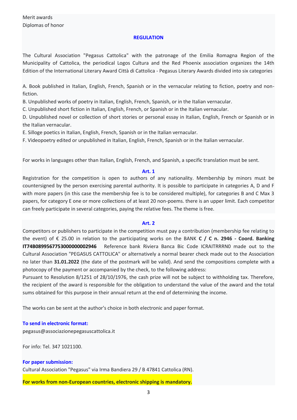## **REGULATION**

The Cultural Association "Pegasus Cattolica" with the patronage of the Emilia Romagna Region of the Municipality of Cattolica, the periodical Logos Cultura and the Red Phoenix association organizes the 14th Edition of the International Literary Award Città di Cattolica - Pegasus Literary Awards divided into six categories

A. Book published in Italian, English, French, Spanish or in the vernacular relating to fiction, poetry and nonfiction.

B. Unpublished works of poetry in Italian, English, French, Spanish, or in the Italian vernacular.

C. Unpublished short fiction in Italian, English, French, or Spanish or in the Italian vernacular.

D. Unpublished novel or collection of short stories or personal essay in Italian, English, French or Spanish or in the Italian vernacular.

E. Silloge poetics in Italian, English, French, Spanish or in the Italian vernacular.

F. Videopoetry edited or unpublished in Italian, English, French, Spanish or in the Italian vernacular.

For works in languages other than Italian, English, French, and Spanish, a specific translation must be sent.

## **Art. 1**

Registration for the competition is open to authors of any nationality. Membership by minors must be countersigned by the person exercising parental authority. It is possible to participate in categories A, D and F with more papers (in this case the membership fee is to be considered multiple), for categories B and C Max 3 papers, for category E one or more collections of at least 20 non-poems. there is an upper limit. Each competitor can freely participate in several categories, paying the relative fees. The theme is free.

## **Art. 2**

Competitors or publishers to participate in the competition must pay a contribution (membership fee relating to the event) of € 25.00 in relation to the participating works on the BANK **C / C n. 2946 - Coord. Banking IT74B0899567753000000002946** Reference bank Riviera Banca Bic Code ICRAITRRRN0 made out to the Cultural Association "PEGASUS CATTOLICA" or alternatively a normal bearer check made out to the Association no later than **31.01.2022** (the date of the postmark will be valid). And send the compositions complete with a photocopy of the payment or accompanied by the check, to the following address:

Pursuant to Resolution 8/1251 of 28/10/1976, the cash prize will not be subject to withholding tax. Therefore, the recipient of the award is responsible for the obligation to understand the value of the award and the total sums obtained for this purpose in their annual return at the end of determining the income.

The works can be sent at the author's choice in both electronic and paper format.

## **To send in electronic format:**

pegasus@associazionepegasuscattolica.it

For info: Tel. 347 1021100.

**For paper submission:** Cultural Association "Pegasus" via Irma Bandiera 29 / B 47841 Cattolica (RN).

**For works from non-European countries, electronic shipping is mandatory.**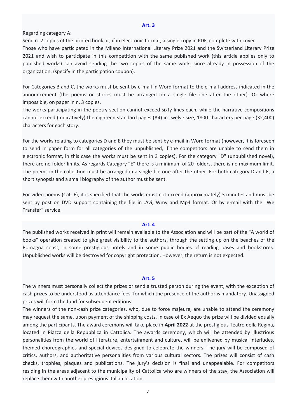#### **Art. 3**

Regarding category A:

Send n. 2 copies of the printed book or, if in electronic format, a single copy in PDF, complete with cover.

Those who have participated in the Milano International Literary Prize 2021 and the Switzerland Literary Prize 2021 and wish to participate in this competition with the same published work (this article applies only to published works) can avoid sending the two copies of the same work. since already in possession of the organization. (specify in the participation coupon).

For Categories B and C, the works must be sent by e-mail in Word format to the e-mail address indicated in the announcement (the poems or stories must be arranged on a single file one after the other). Or where impossible, on paper in n. 3 copies.

The works participating in the poetry section cannot exceed sixty lines each, while the narrative compositions cannot exceed (indicatively) the eighteen standard pages (A4) in twelve size, 1800 characters per page (32,400) characters for each story.

For the works relating to categories D and E they must be sent by e-mail in Word format (however, it is foreseen to send in paper form for all categories of the unpublished, if the competitors are unable to send them in electronic format, in this case the works must be sent in 3 copies). For the category "D" (unpublished novel), there are no folder limits. As regards Category "E" there is a minimum of 20 folders, there is no maximum limit. The poems in the collection must be arranged in a single file one after the other. For both category D and E, a short synopsis and a small biography of the author must be sent.

For video poems (Cat. F), it is specified that the works must not exceed (approximately) 3 minutes and must be sent by post on DVD support containing the file in .Avi, Wmv and Mp4 format. Or by e-mail with the "We Transfer" service.

## **Art. 4**

The published works received in print will remain available to the Association and will be part of the "A world of books" operation created to give great visibility to the authors, through the setting up on the beaches of the Romagna coast, in some prestigious hotels and in some public bodies of reading oases and bookstores. Unpublished works will be destroyed for copyright protection. However, the return is not expected.

#### **Art. 5**

The winners must personally collect the prizes or send a trusted person during the event, with the exception of cash prizes to be understood as attendance fees, for which the presence of the author is mandatory. Unassigned prizes will form the fund for subsequent editions.

The winners of the non-cash prize categories, who, due to force majeure, are unable to attend the ceremony may request the same, upon payment of the shipping costs. In case of Ex Aequo the prize will be divided equally among the participants. The award ceremony will take place in **April 2022** at the prestigious Teatro della Regina, located in Piazza della Repubblica in Cattolica. The awards ceremony, which will be attended by illustrious personalities from the world of literature, entertainment and culture, will be enlivened by musical interludes, themed choreographies and special devices designed to celebrate the winners. The jury will be composed of critics, authors, and authoritative personalities from various cultural sectors. The prizes will consist of cash checks, trophies, plaques and publications. The jury's decision is final and unappealable. For competitors residing in the areas adjacent to the municipality of Cattolica who are winners of the stay, the Association will replace them with another prestigious Italian location.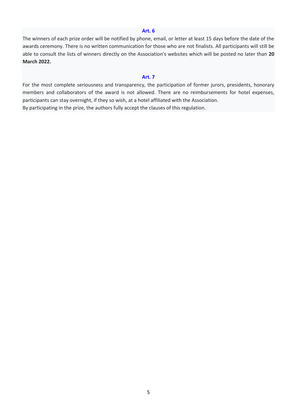#### **Art. 6**

The winners of each prize order will be notified by phone, email, or letter at least 15 days before the date of the awards ceremony. There is no written communication for those who are not finalists. All participants will still be able to consult the lists of winners directly on the Association's websites which will be posted no later than **20 March 2022.**

#### **Art. 7**

For the most complete seriousness and transparency, the participation of former jurors, presidents, honorary members and collaborators of the award is not allowed. There are no reimbursements for hotel expenses, participants can stay overnight, if they so wish, at a hotel affiliated with the Association. By participating in the prize, the authors fully accept the clauses of this regulation.